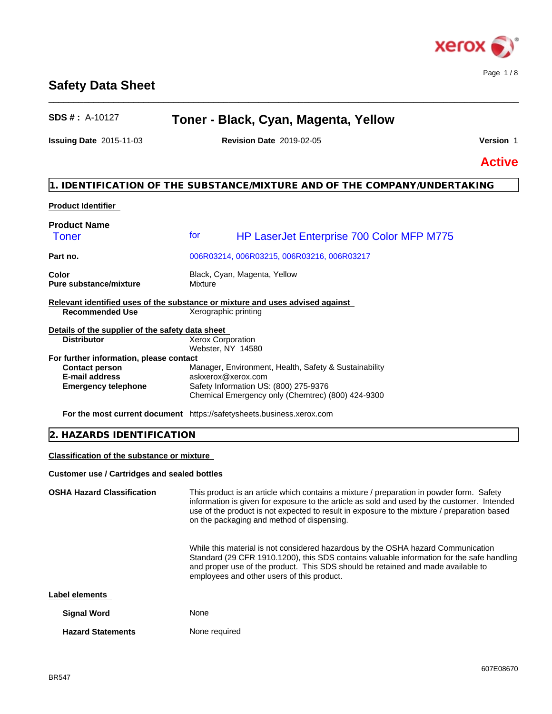

# **Safety Data Sheet**

# **SDS # :** A-10127 **Toner - Black, Cyan, Magenta, Yellow**

\_\_\_\_\_\_\_\_\_\_\_\_\_\_\_\_\_\_\_\_\_\_\_\_\_\_\_\_\_\_\_\_\_\_\_\_\_\_\_\_\_\_\_\_\_\_\_\_\_\_\_\_\_\_\_\_\_\_\_\_\_\_\_\_\_\_\_\_\_\_\_\_\_\_\_\_\_\_\_\_\_\_\_\_\_\_\_\_\_\_\_\_\_\_

**Issuing Date** 2015-11-03 **Revision Date** 2019-02-05 **Version** 1

**Active**

## **1. IDENTIFICATION OF THE SUBSTANCE/MIXTURE AND OF THE COMPANY/UNDERTAKING**

## **Product Identifier**

| <b>Product Name</b>                                                           |                      |                                                       |
|-------------------------------------------------------------------------------|----------------------|-------------------------------------------------------|
| Toner                                                                         | for                  | HP LaserJet Enterprise 700 Color MFP M775             |
| Part no.                                                                      |                      | 006R03214, 006R03215, 006R03216, 006R03217            |
| Color<br><b>Pure substance/mixture</b>                                        | Mixture              | Black, Cyan, Magenta, Yellow                          |
| Relevant identified uses of the substance or mixture and uses advised against |                      |                                                       |
| <b>Recommended Use</b>                                                        | Xerographic printing |                                                       |
| Details of the supplier of the safety data sheet                              |                      |                                                       |
| <b>Distributor</b>                                                            | Xerox Corporation    |                                                       |
|                                                                               | Webster, NY 14580    |                                                       |
| For further information, please contact                                       |                      |                                                       |
| <b>Contact person</b>                                                         |                      | Manager, Environment, Health, Safety & Sustainability |
| <b>E-mail address</b>                                                         | askxerox@xerox.com   |                                                       |
| <b>Emergency telephone</b>                                                    |                      | Safety Information US: (800) 275-9376                 |
|                                                                               |                      | Chemical Emergency only (Chemtrec) (800) 424-9300     |
| <b>For the most current document</b> https://safetysheets.business.xerox.com  |                      |                                                       |

## **2. HAZARDS IDENTIFICATION**

## **Classification of the substance or mixture**

#### **Customer use / Cartridges and sealed bottles**

| <b>OSHA Hazard Classification</b> | This product is an article which contains a mixture / preparation in powder form. Safety<br>information is given for exposure to the article as sold and used by the customer. Intended<br>use of the product is not expected to result in exposure to the mixture / preparation based<br>on the packaging and method of dispensing. |  |
|-----------------------------------|--------------------------------------------------------------------------------------------------------------------------------------------------------------------------------------------------------------------------------------------------------------------------------------------------------------------------------------|--|
|                                   | While this material is not considered hazardous by the OSHA hazard Communication<br>Standard (29 CFR 1910.1200), this SDS contains valuable information for the safe handling<br>and proper use of the product. This SDS should be retained and made available to<br>employees and other users of this product.                      |  |
| Label elements                    |                                                                                                                                                                                                                                                                                                                                      |  |
| <b>Signal Word</b>                | None                                                                                                                                                                                                                                                                                                                                 |  |
| <b>Hazard Statements</b>          | None required                                                                                                                                                                                                                                                                                                                        |  |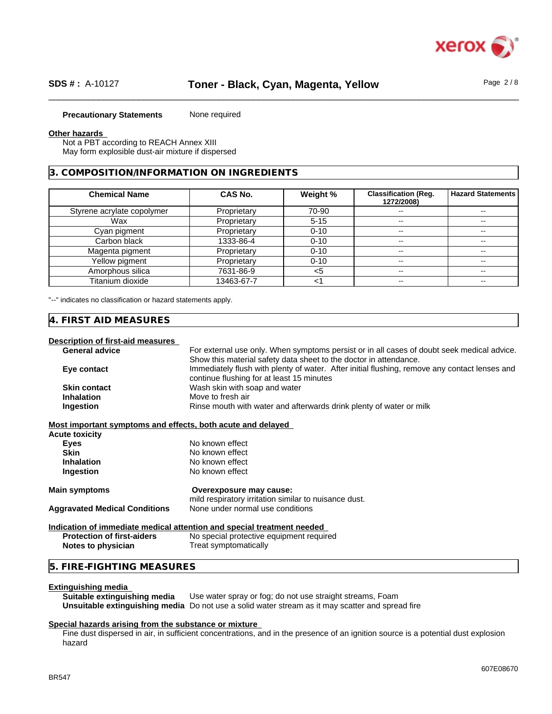

#### **Precautionary Statements** None required

#### **Other hazards**

Not a PBT according to REACH Annex XIII May form explosible dust-air mixture if dispersed

#### **3. COMPOSITION/INFORMATION ON INGREDIENTS**

| <b>Chemical Name</b>       | <b>CAS No.</b> | Weight % | <b>Classification (Reg.</b><br>1272/2008) | Hazard Statements |
|----------------------------|----------------|----------|-------------------------------------------|-------------------|
| Styrene acrylate copolymer | Proprietary    | 70-90    | $\overline{\phantom{a}}$                  | --                |
| Wax                        | Proprietary    | $5 - 15$ | $- -$                                     | --                |
| Cyan pigment               | Proprietary    | $0 - 10$ | $\overline{\phantom{a}}$                  | --                |
| Carbon black               | 1333-86-4      | $0 - 10$ | $\sim$                                    | --                |
| Magenta pigment            | Proprietary    | $0 - 10$ | $\overline{\phantom{a}}$                  | $- -$             |
| Yellow pigment             | Proprietary    | $0 - 10$ | $\sim$                                    |                   |
| Amorphous silica           | 7631-86-9      | <5       | $\overline{\phantom{a}}$                  | $\sim$            |
| Titanium dioxide           | 13463-67-7     |          |                                           |                   |

"--" indicates no classification or hazard statements apply.

#### **4. FIRST AID MEASURES**

## **Description of first-aid measures**

| <b>General advice</b>                                       | For external use only. When symptoms persist or in all cases of doubt seek medical advice.    |
|-------------------------------------------------------------|-----------------------------------------------------------------------------------------------|
|                                                             | Show this material safety data sheet to the doctor in attendance.                             |
| Eye contact                                                 | Immediately flush with plenty of water. After initial flushing, remove any contact lenses and |
|                                                             | continue flushing for at least 15 minutes                                                     |
| <b>Skin contact</b>                                         | Wash skin with soap and water                                                                 |
| <b>Inhalation</b>                                           | Move to fresh air                                                                             |
| Ingestion                                                   | Rinse mouth with water and afterwards drink plenty of water or milk                           |
| Most important symptoms and effects, both acute and delayed |                                                                                               |
| Acute toxicity                                              |                                                                                               |
| <b>Eyes</b>                                                 | No known effect                                                                               |
| <b>Skin</b>                                                 | No known effect                                                                               |
| <b>Inhalation</b>                                           | No known effect                                                                               |
| Ingestion                                                   | No known effect                                                                               |
| <b>Main symptoms</b>                                        | Overexposure may cause:                                                                       |
|                                                             | mild respiratory irritation similar to nuisance dust.                                         |
| <b>Aggravated Medical Conditions</b>                        | None under normal use conditions                                                              |
|                                                             | Indication of immediate medical attention and special treatment needed                        |
| <b>Protection of first-aiders</b>                           | No special protective equipment required                                                      |
| Notes to physician                                          | Treat symptomatically                                                                         |
|                                                             |                                                                                               |

## **5. FIRE-FIGHTING MEASURES**

#### **Extinguishing media**

**Suitable extinguishing media** Use water spray or fog; do not use straight streams, Foam **Unsuitable extinguishing media** Do not use a solid water stream as it may scatterand spread fire

#### **Special hazards arising from the substance or mixture**

Fine dust dispersed in air, in sufficient concentrations, and in the presence of an ignition source is a potential dust explosion hazard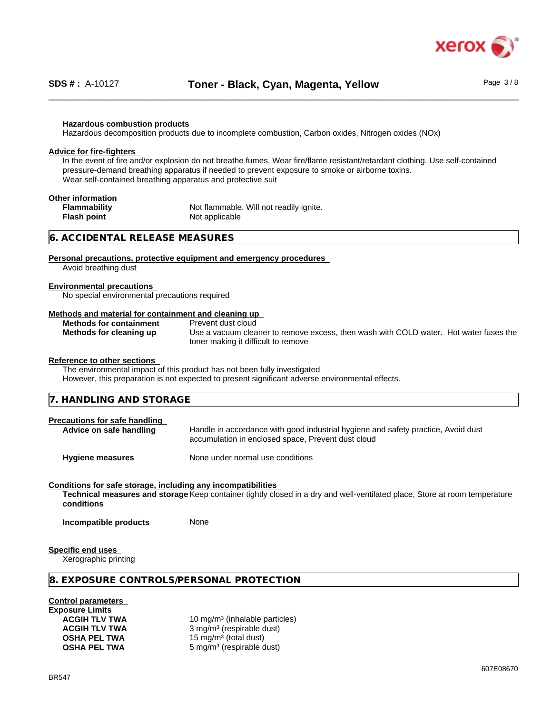

#### **Hazardous combustion products**

Hazardous decomposition products due to incomplete combustion, Carbon oxides, Nitrogen oxides (NOx)

#### **Advice for fire-fighters**

In the event of fire and/or explosion do not breathe fumes. Wear fire/flame resistant/retardant clothing. Use self-contained pressure-demand breathing apparatus if needed to prevent exposure to smoke or airborne toxins. Wear self-contained breathing apparatus and protective suit

#### **Other information**

**Flash point** Not applicable

**Flammability** Not flammable. Will not readily ignite.

## **6. ACCIDENTAL RELEASE MEASURES**

#### **Personal precautions, protective equipment and emergency procedures**

Avoid breathing dust

#### **Environmental precautions**

No special environmental precautions required

#### **Methods and material for containment and cleaning up**

|  | <b>Methods for containment</b> |
|--|--------------------------------|
|  | Methods for cleaning up        |

**Prevent dust cloud** Use a vacuum cleaner to remove excess, then wash with COLD water. Hot water fuses the toner making it difficult to remove

#### **Reference to other sections**

The environmental impact of this product has not been fully investigated

However, this preparation is not expected to present significant adverse environmental effects.

| 7. HANDLING AND STORAGE                                         |                                                                                                                                         |  |
|-----------------------------------------------------------------|-----------------------------------------------------------------------------------------------------------------------------------------|--|
| <b>Precautions for safe handling</b><br>Advice on safe handling | Handle in accordance with good industrial hygiene and safety practice, Avoid dust<br>accumulation in enclosed space, Prevent dust cloud |  |

**Hygiene measures** None under normal use conditions

#### **Conditions for safe storage, including any incompatibilities**

**Technical measures and storage** Keep container tightly closed in a dry and well-ventilated place, Store at room temperature **conditions**

**Incompatible products** None

#### **Specific end uses**

Xerographic printing

## **8. EXPOSURE CONTROLS/PERSONAL PROTECTION**

#### **Control parameters**

| <b>Exposure Limits</b> |                |
|------------------------|----------------|
| <b>ACGIH TLV TWA</b>   | 10             |
| <b>ACGIH TLV TWA</b>   | 3 <sub>1</sub> |
| <b>OSHA PEL TWA</b>    | 15             |
| <b>OSHA PEL TWA</b>    | 5 1            |

**ACGIH TLV TWA** 10 mg/m<sup>3</sup> (inhalable particles) **ACGIH TLV TWA** 3 mg/m<sup>3</sup> (respirable dust) **OSHA PEL TWA** 15 mg/m<sup>3</sup> (total dust) **OSHA PEL TWA** 5 mg/m<sup>3</sup> (respirable dust)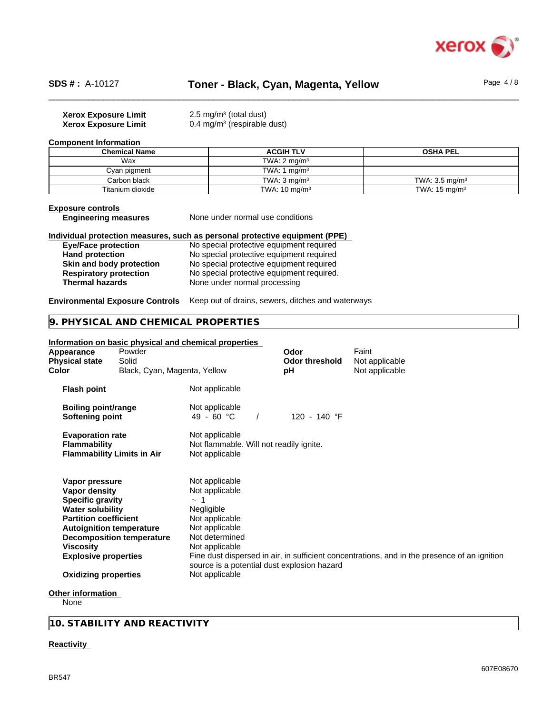

## \_\_\_\_\_\_\_\_\_\_\_\_\_\_\_\_\_\_\_\_\_\_\_\_\_\_\_\_\_\_\_\_\_\_\_\_\_\_\_\_\_\_\_\_\_\_\_\_\_\_\_\_\_\_\_\_\_\_\_\_\_\_\_\_\_\_\_\_\_\_\_\_\_\_\_\_\_\_\_\_\_\_\_\_\_\_\_\_\_\_\_\_\_\_ **SDS # :** A-10127 **Toner - Black, Cyan, Magenta, Yellow** Page 4 / 8

| Page $4/8$ |  |  |
|------------|--|--|
|------------|--|--|

| <b>Xerox Exposure Limit</b> | 2.5 mg/m <sup>3</sup> (total dust)     |
|-----------------------------|----------------------------------------|
| <b>Xerox Exposure Limit</b> | $0.4 \text{ mg/m}^3$ (respirable dust) |

#### **Component Information**

| <b>Chemical Name</b> | <b>ACGIH TLV</b>         | <b>OSHA PEL</b>           |
|----------------------|--------------------------|---------------------------|
| Wax                  | TWA: $2 \text{ mg/m}^3$  |                           |
| Cyan pigment         | TWA: 1 $mq/m3$           |                           |
| Carbon black         | TWA: $3 \text{ ma/m}^3$  | TWA: $3.5 \text{ mg/m}^3$ |
| Titanium dioxide     | TWA: $10 \text{ ma/m}^3$ | TWA: $15 \text{ mg/m}^3$  |

**Exposure controls**

None under normal use conditions

#### **Individual protection measures, such as personal protective equipment (PPE)**

| <b>Eye/Face protection</b>    | No special protective equipment required  |
|-------------------------------|-------------------------------------------|
| <b>Hand protection</b>        | No special protective equipment required  |
| Skin and body protection      | No special protective equipment required  |
| <b>Respiratory protection</b> | No special protective equipment required. |
| <b>Thermal hazards</b>        | None under normal processing              |

**Environmental Exposure Controls** Keep out of drains, sewers, ditches and waterways

## **9. PHYSICAL AND CHEMICAL PROPERTIES**

| Appearance<br><b>Physical state</b><br>Color                                                                                                                                                                                               | Powder<br>Solid<br>Black, Cyan, Magenta, Yellow | Information on basic physical and chemical properties                                                                                                                                               | Odor<br><b>Odor threshold</b><br>рH | Faint<br>Not applicable<br>Not applicable                                                    |
|--------------------------------------------------------------------------------------------------------------------------------------------------------------------------------------------------------------------------------------------|-------------------------------------------------|-----------------------------------------------------------------------------------------------------------------------------------------------------------------------------------------------------|-------------------------------------|----------------------------------------------------------------------------------------------|
| <b>Flash point</b>                                                                                                                                                                                                                         |                                                 | Not applicable                                                                                                                                                                                      |                                     |                                                                                              |
| <b>Boiling point/range</b><br>Softening point                                                                                                                                                                                              |                                                 | Not applicable<br>49 - 60 $^{\circ}$ C                                                                                                                                                              | 120 - 140 °F                        |                                                                                              |
| <b>Evaporation rate</b><br><b>Flammability</b>                                                                                                                                                                                             | <b>Flammability Limits in Air</b>               | Not applicable<br>Not flammable. Will not readily ignite.<br>Not applicable                                                                                                                         |                                     |                                                                                              |
| Vapor pressure<br>Vapor density<br><b>Specific gravity</b><br><b>Water solubility</b><br><b>Partition coefficient</b><br><b>Autoignition temperature</b><br><b>Viscosity</b><br><b>Explosive properties</b><br><b>Oxidizing properties</b> | <b>Decomposition temperature</b>                | Not applicable<br>Not applicable<br>$\sim$ 1<br>Negligible<br>Not applicable<br>Not applicable<br>Not determined<br>Not applicable<br>source is a potential dust explosion hazard<br>Not applicable |                                     | Fine dust dispersed in air, in sufficient concentrations, and in the presence of an ignition |
| Other information<br>None                                                                                                                                                                                                                  |                                                 |                                                                                                                                                                                                     |                                     |                                                                                              |

**10. STABILITY AND REACTIVITY**

#### **Reactivity**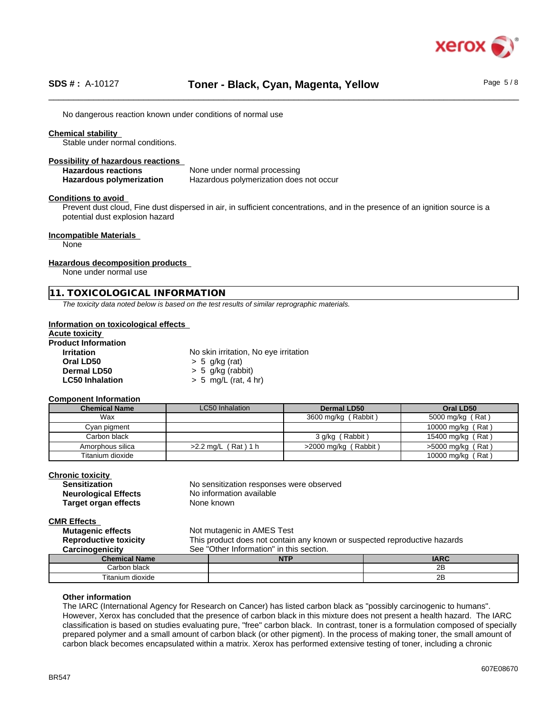

No dangerous reaction known under conditions of normal use

### **Chemical stability**

Stable under normal conditions.

#### **Possibility of hazardous reactions**

**Hazardous reactions** None under normal processing **Hazardous polymerization** Hazardous polymerization does not occur

**Conditions to avoid**

Prevent dust cloud, Fine dust dispersed in air, in sufficient concentrations, and in the presence of an ignition source is a potential dust explosion hazard

#### **Incompatible Materials**

None

#### **Hazardous decomposition products**

None under normal use

#### **11. TOXICOLOGICAL INFORMATION**

*The toxicity data noted below is based on the test results of similar reprographic materials.*

#### **Information on toxicological effects**

| <b>Acute toxicity</b>      |                                       |
|----------------------------|---------------------------------------|
| <b>Product Information</b> |                                       |
| <b>Irritation</b>          | No skin irritation, No eye irritation |
| Oral LD50                  | $> 5$ g/kg (rat)                      |
| Dermal LD50                | $> 5$ g/kg (rabbit)                   |
| <b>LC50 Inhalation</b>     | $> 5$ mg/L (rat, 4 hr)                |

#### **Component Information**

| <b>Chemical Name</b> | LC50 Inhalation          | Dermal LD50            | Oral LD50           |
|----------------------|--------------------------|------------------------|---------------------|
| Wax                  |                          | 3600 mg/kg (Rabbit)    | 5000 mg/kg (Rat)    |
| Cyan pigment         |                          |                        | 10000 mg/kg (Rat)   |
| Carbon black         |                          | 3 g/kg (Rabbit)        | 15400 mg/kg (Rat)   |
| Amorphous silica     | $(Rat)$ 1 h<br>>2.2 mg/L | $>2000$ mg/kg (Rabbit) | $>5000$ mg/kg (Rat) |
| Titanium dioxide     |                          |                        | 10000 mg/kg (Rat)   |

#### **Chronic toxicity**

| <b>Sensitization</b>        |  |
|-----------------------------|--|
| <b>Neurological Effects</b> |  |
| <b>Target organ effects</b> |  |

No sensitization responses were observed **No information available None known** 

#### **CMR Effects**

**Mutagenic effects** Not mutagenic in AMES Test **Reproductive toxicity** This product does not contain any known or suspected reproductive hazards **Carcinogenicity** See "Other Information" in this section.

| --<br>me                               | 1.5.5<br>. | ADC<br>$\blacksquare$ |
|----------------------------------------|------------|-----------------------|
| '∩rŀ<br>hinni<br>udun                  |            | $ -$<br>້             |
| Titaniu.<br>$\cdot$ .<br>dioxide<br>ım |            | --<br>້               |

#### **Other information**

The IARC (International Agency for Research on Cancer) has listed carbon black as "possibly carcinogenic to humans". However, Xerox has concluded that the presence of carbon black in this mixture does not present a health hazard. The IARC classification is based on studies evaluating pure, "free" carbon black. In contrast, toner is a formulation composed of specially prepared polymer and a small amount of carbon black (or other pigment). In the process of making toner, the small amount of carbon black becomes encapsulated within a matrix. Xerox has performed extensive testing of toner, including a chronic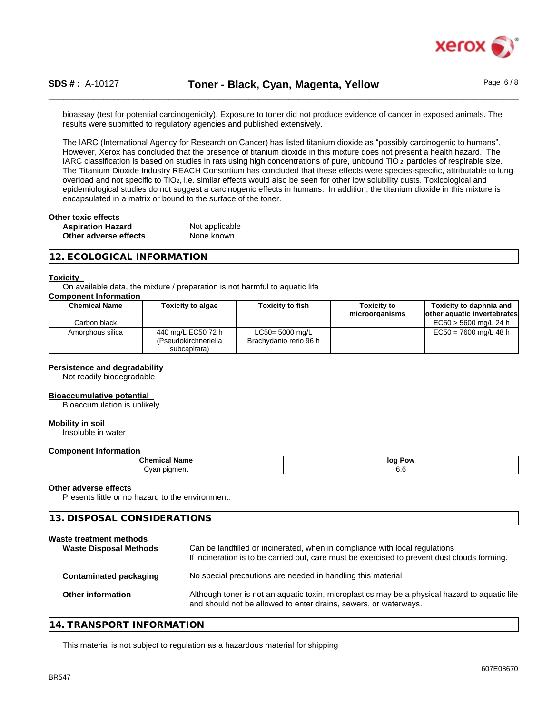

bioassay (test for potential carcinogenicity). Exposure to toner did not produce evidence of cancer in exposed animals. The results were submitted to regulatory agencies and published extensively.

The IARC (International Agency for Research on Cancer) has listed titanium dioxide as "possibly carcinogenic to humans". However, Xerox has concluded that the presence of titanium dioxide in this mixture does not present a health hazard. The IARC classification is based on studies in rats using high concentrations of pure, unbound TiO 2 particles of respirable size. The Titanium Dioxide Industry REACH Consortium has concluded that these effects were species-specific, attributable to lung overload and not specific to TiO<sub>2</sub>, i.e. similar effects would also be seen for other low solubility dusts. Toxicological and epidemiological studies do not suggest a carcinogenic effects in humans. In addition, the titanium dioxide in this mixture is encapsulated in a matrix or bound to the surface of the toner.

| Other toxic effects      |                |  |
|--------------------------|----------------|--|
| <b>Aspiration Hazard</b> | Not applicable |  |
| Other adverse effects    | None known     |  |

#### **12. ECOLOGICAL INFORMATION**

#### **Toxicity**

On available data, the mixture / preparation is not harmful to aquatic life

#### **Component Information**

| <b>Chemical Name</b> | <b>Toxicity to algae</b>                                   | <b>Toxicity to fish</b>                      | Toxicitv to<br>microorganisms | Toxicity to daphnia and<br>lother aquatic invertebrates |
|----------------------|------------------------------------------------------------|----------------------------------------------|-------------------------------|---------------------------------------------------------|
| Carbon black         |                                                            |                                              |                               | EC50 > 5600 mg/L 24 h                                   |
| Amorphous silica     | 440 mg/L EC50 72 h<br>(Pseudokirchneriella<br>subcapitata) | $LC50 = 5000$ mg/L<br>Brachydanio rerio 96 h |                               | $EC50 = 7600$ mg/L 48 h                                 |

#### **Persistence and degradability**

Not readily biodegradable

#### **Bioaccumulative potential**

Bioaccumulation is unlikely

#### **Mobility in soil**

Insoluble in water

#### **Component Information**

| $\sim$ $\sim$ $\sim$ | log   |
|----------------------|-------|
| ivalile              | . Pow |
| מו ו'                | v.c   |

#### **Other adverse effects**

Presents little or no hazard to the environment.

| 13. DISPOSAL CONSIDERATIONS |
|-----------------------------|
|                             |

| <b>Waste Disposal Methods</b> | Can be landfilled or incinerated, when in compliance with local regulations<br>If incineration is to be carried out, care must be exercised to prevent dust clouds forming. |
|-------------------------------|-----------------------------------------------------------------------------------------------------------------------------------------------------------------------------|
| <b>Contaminated packaging</b> | No special precautions are needed in handling this material                                                                                                                 |
| <b>Other information</b>      | Although toner is not an aquatic toxin, microplastics may be a physical hazard to aquatic life<br>and should not be allowed to enter drains, sewers, or waterways.          |
|                               | Waste treatment methods                                                                                                                                                     |

#### **14. TRANSPORT INFORMATION**

This material is not subject to regulation as a hazardous material for shipping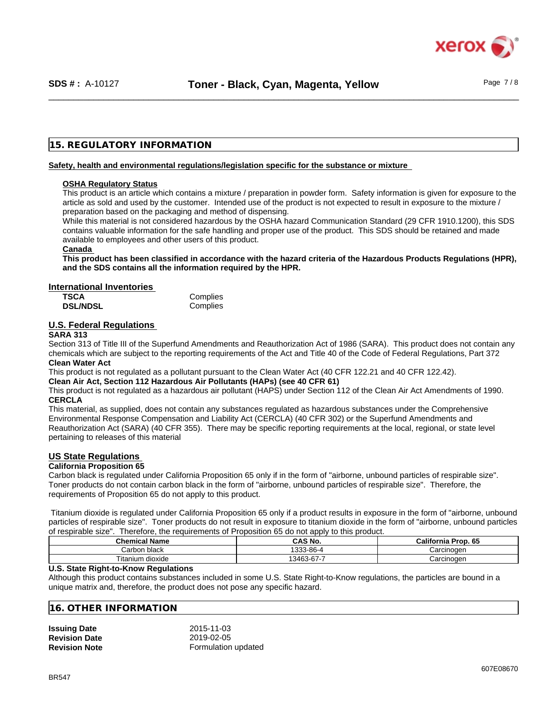

## **15. REGULATORY INFORMATION**

#### **Safety, health and environmental regulations/legislation specific for the substance or mixture**

#### **OSHA Regulatory Status**

This product is an article which contains a mixture / preparation in powder form. Safety information is given for exposure to the article as sold and used by the customer. Intended use of the product is not expected to result in exposure to the mixture / preparation based on the packaging and method of dispensing.

While this material is not considered hazardous by the OSHA hazard Communication Standard (29 CFR 1910.1200), this SDS contains valuable information for the safe handling and proper use of the product. This SDS should be retained and made available to employees and other users of this product.

#### **Canada**

This product has been classified in accordance with the hazard criteria of the Hazardous Products Regulations (HPR), **and the SDS contains all the information required by the HPR.**

#### **International Inventories**

| <b>TSCA</b>     | Complies |
|-----------------|----------|
| <b>DSL/NDSL</b> | Complies |

## **U.S. Federal Regulations**

#### **SARA 313**

Section 313 of Title III of the Superfund Amendments and Reauthorization Act of 1986 (SARA). This product does not contain any chemicals which are subject to the reporting requirements of the Act and Title 40 of the Code of Federal Regulations, Part 372 **Clean Water Act**

This product is not regulated as a pollutant pursuant to the Clean Water Act (40 CFR 122.21 and 40 CFR 122.42).

**Clean Air Act,Section 112 Hazardous Air Pollutants (HAPs) (see 40 CFR 61)**

This product is not regulated as a hazardous air pollutant (HAPS) under Section 112 of the Clean Air Act Amendments of 1990. **CERCLA**

This material, as supplied, does not contain any substances regulated as hazardous substances under the Comprehensive Environmental Response Compensation and Liability Act (CERCLA) (40 CFR 302) or the Superfund Amendments and Reauthorization Act (SARA) (40 CFR 355). There may be specific reporting requirements at the local, regional, or state level pertaining to releases of this material

#### **US State Regulations**

#### **California Proposition 65**

Carbon black is regulated under California Proposition 65 only if in the form of "airborne, unbound particles of respirable size". Toner products do not contain carbon black in the form of "airborne, unbound particles of respirable size". Therefore, the requirements of Proposition 65 do not apply to this product.

Titanium dioxide is regulated under California Proposition 65 only if a product results in exposure in the form of "airborne, unbound particles of respirable size". Toner products do not result in exposure to titanium dioxide in the form of "airborne, unbound particles of respirable size". Therefore, the requirements of Proposition 65 do not apply to this product.

| <b>Chemical Name</b> | $\hat{}$ AS No.                    | <b>California Prop. 65</b> |
|----------------------|------------------------------------|----------------------------|
| Carbon black         | 3-86-4 دن.                         | Carcinoɑen                 |
| Titanium dioxide     | $\sim$ $\sim$ $\sim$<br>13463-67-7 | Carcinoɑen                 |

#### **U.S. State Right-to-Know Regulations**

Although this product contains substances included in some U.S. State Right-to-Know regulations, the particles are bound in a unique matrix and, therefore, the product does not pose any specific hazard.

#### **16. OTHER INFORMATION**

| <b>Issuing Date</b>  | 2015-11-03          |  |
|----------------------|---------------------|--|
| <b>Revision Date</b> | 2019-02-05          |  |
| <b>Revision Note</b> | Formulation updated |  |